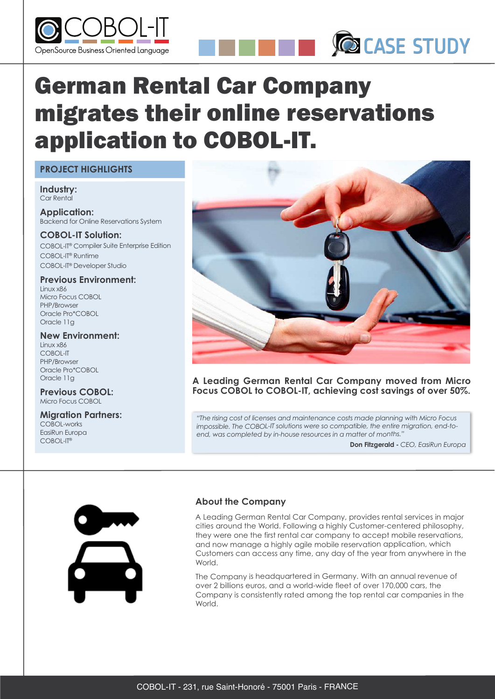



# German Rental Car Company migrates their online reservations application to COBOL-IT.

#### **PROJECT HIGHLIGHTS**

**Industry:** Car Rental

**Application:** Backend for Online Reservations System

**COBOL-IT Solution:** COBOL-IT® Compiler Suite Enterprise Edition COBOL-IT® Runtime COBOL-IT® Developer Studio

#### **Previous Environment:** Linux x86

Micro Focus COBOL PHP/Browser Oracle Pro\*COBOL Oracle 11g

## **New Environment:**

Linux x86 COBOL-IT PHP/Browser Oracle Pro\*COBOL Oracle 11g

#### **Previous COBOL:** Micro Focus COBOL

# **Migration Partners:**

COBOL-works EasiRun Europa COBOL-IT®



#### **A Leading German Rental Car Company moved from Micro Focus COBOL to COBOL-IT, achieving cost savings of over 50%.**

*"The rising cost of licenses and maintenance costs made planning with Micro Focus impossible. The COBOL-IT solutions were so compatible, the entire migration, end-toend, was completed by in-house resources in <sup>a</sup> matter of months."*

**Don Fitzgerald -** *CEO, EasiRun Europa*



## **About the Company**

A Leading German Rental Car Company, provides rental services in major cities around the World. Following <sup>a</sup> highly Customer-centered philosophy, they were one the first rental car company to accept mobile reservations, and now manage <sup>a</sup> highly agile mobile reservation application, which Customers can access any time, any day of the year from anywhere in the World.

The Company is headquartered in Germany. With an annual revenue of over 2 billions euros, and <sup>a</sup> world-wide fleet of over 170,000 cars, the Company is consistently rated among the top rental car companies in the World.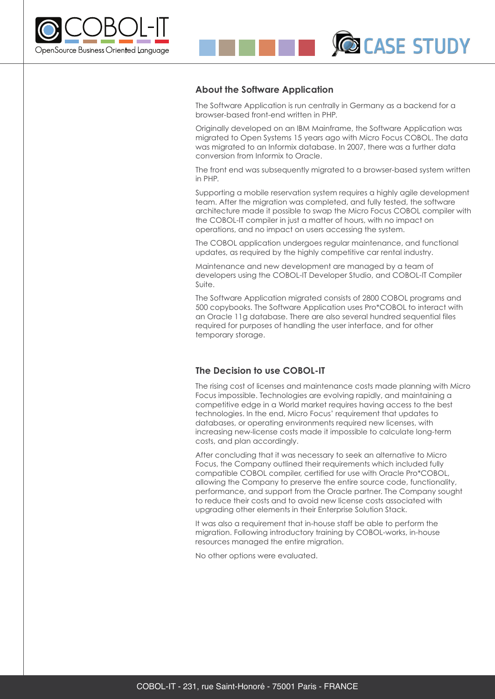

#### **About the Software Application**

The Software Application is run centrally in Germany as a backend for a browser-based front-end written in PHP.

**DICASE STUDY** 

Originally developed on an IBM Mainframe, the Software Application was migrated to Open Systems 15 years ago with Micro Focus COBOL. The data was migrated to an Informix database. In 2007, there was a further data conversion from Informix to Oracle.

The front end was subsequently migrated to a browser-based system written in PHP.

Supporting a mobile reservation system requires a highly agile development team. After the migration was completed, and fully tested, the software architecture made it possible to swap the Micro Focus COBOL compiler with the COBOL-IT compiler in just a matter of hours, with no impact on operations, and no impact on users accessing the system.

The COBOL application undergoes regular maintenance, and functional updates, as required by the highly competitive car rental industry.

Maintenance and new development are managed by a team of developers using the COBOL-IT Developer Studio, and COBOL-IT Compiler Suite.

The Software Application migrated consists of 2800 COBOL programs and 500 copybooks. The Software Application uses Pro\*COBOL to interact with an Oracle 11g database. There are also several hundred sequential files required for purposes of handling the user interface, and for other temporary storage.

#### **The Decision to use COBOL-IT**

The rising cost of licenses and maintenance costs made planning with Micro Focus impossible. Technologies are evolving rapidly, and maintaining a competitive edge in a World market requires having access to the best technologies. In the end, Micro Focus' requirement that updates to databases, or operating environments required new licenses, with increasing new-license costs made it impossible to calculate long-term costs, and plan accordingly.

After concluding that it was necessary to seek an alternative to Micro Focus, the Company outlined their requirements which included fully compatible COBOL compiler, certified for use with Oracle Pro\*COBOL, allowing the Company to preserve the entire source code, functionality, performance, and support from the Oracle partner. The Company sought to reduce their costs and to avoid new license costs associated with upgrading other elements in their Enterprise Solution Stack.

It was also a requirement that in-house staff be able to perform the migration. Following introductory training by COBOL-works, in-house resources managed the entire migration.

No other options were evaluated.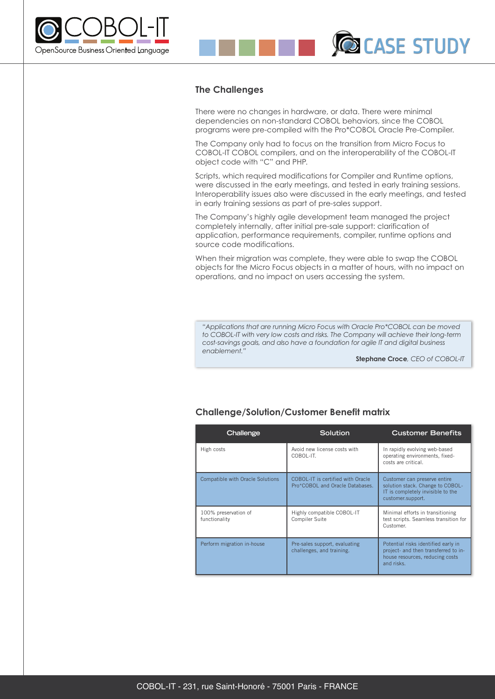



There were no changes in hardware, or data. There were minimal dependencies on non-standard COBOL behaviors, since the COBOL programs were pre-compiled with the Pro\*COBOL Oracle Pre-Compiler.

The Company only had to focus on the transition from Micro Focus to COBOL-IT COBOL compilers, and on the interoperability of the COBOL-IT object code with "C" and PHP.

Scripts, which required modifications for Compiler and Runtime options, were discussed in the early meetings, and tested in early training sessions. Interoperability issues also were discussed in the early meetings, and tested in early training sessions as part of pre-sales support.

The Company's highly agile development team managed the project completely internally, after initial pre-sale support: clarification of application, performance requirements, compiler, runtime options and source code modifications.

When their migration was complete, they were able to swap the COBOL objects for the Micro Focus objects in a matter of hours, with no impact on operations, and no impact on users accessing the system.

*"Applications that are running Micro Focus with Oracle Pro\*COBOL can be moved to COBOL-IT with very low costs and risks. The Company will achieve their long-term cost-savings goals, and also have a foundation for agile IT and digital business enablement."*

**Stephane Croce***, CEO of COBOL-IT*

**DICASE STUDY** 

#### **Challenge/Solution/Customer Benefit matrix**

| Challenge                               | Solution                                                             | <b>Customer Benefits</b>                                                                                                     |
|-----------------------------------------|----------------------------------------------------------------------|------------------------------------------------------------------------------------------------------------------------------|
| High costs                              | Avoid new license costs with<br>COBOL-IT.                            | In rapidly evolving web-based<br>operating environments, fixed-<br>costs are critical.                                       |
| <b>Compatible with Oracle Solutions</b> | COBOL-IT is certified with Oracle<br>Pro*COBOL and Oracle Databases. | Customer can preserve entire<br>solution stack. Change to COBOL-<br>IT is completely invisible to the<br>customer.support.   |
| 100% preservation of<br>functionality   | Highly compatible COBOL-IT<br>Compiler Suite                         | Minimal efforts in transitioning<br>test scripts. Seamless transition for<br>Customer.                                       |
| Perform migration in-house              | Pre-sales support, evaluating<br>challenges, and training.           | Potential risks identified early in<br>project- and then transferred to in-<br>house resources, reducing costs<br>and risks. |